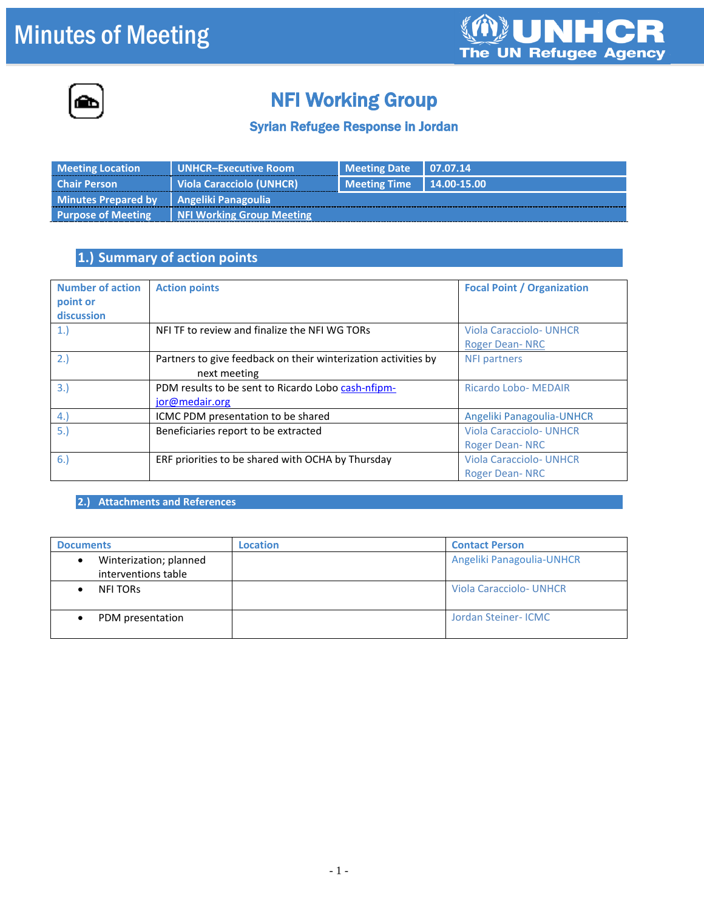# Minutes of Meeting





## NFI Working Group

#### Syrian Refugee Response in Jordan

| <b>Meeting Location</b>                   | <b>UNHCR-Executive Room</b>      | <b>Meeting Date 1 07.07.14</b>     |  |
|-------------------------------------------|----------------------------------|------------------------------------|--|
| <b>Chair Person</b>                       | I Viola Caracciolo (UNHCR).      | $\vert$ Meeting Time   14.00-15.00 |  |
| Minutes Prepared by   Angeliki Panagoulia |                                  |                                    |  |
| <b>Purpose of Meeting</b>                 | <b>NFI Working Group Meeting</b> |                                    |  |

### **1.) Summary of action points**

| <b>Number of action</b><br>point or<br>discussion | <b>Action points</b>                                                           | <b>Focal Point / Organization</b>                       |
|---------------------------------------------------|--------------------------------------------------------------------------------|---------------------------------------------------------|
| 1.                                                | NFI TF to review and finalize the NFI WG TORs                                  | <b>Viola Caracciolo- UNHCR</b><br><b>Roger Dean-NRC</b> |
| 2.)                                               | Partners to give feedback on their winterization activities by<br>next meeting | <b>NFI partners</b>                                     |
| 3.)                                               | PDM results to be sent to Ricardo Lobo cash-nfipm-<br>jor@medair.org           | <b>Ricardo Lobo- MEDAIR</b>                             |
| 4.                                                | ICMC PDM presentation to be shared                                             | Angeliki Panagoulia-UNHCR                               |
| 5.)                                               | Beneficiaries report to be extracted                                           | <b>Viola Caracciolo- UNHCR</b><br><b>Roger Dean-NRC</b> |
| 6.                                                | ERF priorities to be shared with OCHA by Thursday                              | <b>Viola Caracciolo- UNHCR</b><br><b>Roger Dean-NRC</b> |

**2.) Attachments and References**

| <b>Documents</b>                              | Location | <b>Contact Person</b>          |
|-----------------------------------------------|----------|--------------------------------|
| Winterization; planned<br>interventions table |          | Angeliki Panagoulia-UNHCR      |
| <b>NFI TORS</b>                               |          | <b>Viola Caracciolo- UNHCR</b> |
| PDM presentation                              |          | Jordan Steiner- ICMC           |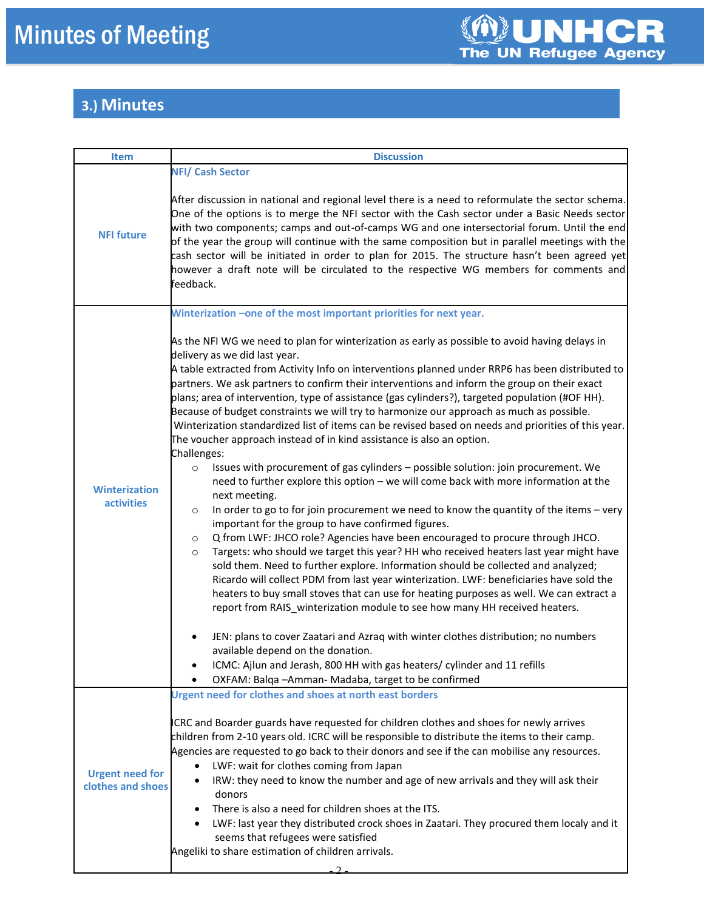### **3.) Minutes**

| <b>Item</b>                                 | <b>Discussion</b>                                                                                                                                                                                                                                                                                                                                                                                                                                                                                                                                                                                                                                                                                                                                                                                                                                                                                                             |
|---------------------------------------------|-------------------------------------------------------------------------------------------------------------------------------------------------------------------------------------------------------------------------------------------------------------------------------------------------------------------------------------------------------------------------------------------------------------------------------------------------------------------------------------------------------------------------------------------------------------------------------------------------------------------------------------------------------------------------------------------------------------------------------------------------------------------------------------------------------------------------------------------------------------------------------------------------------------------------------|
|                                             | <b>NFI/ Cash Sector</b>                                                                                                                                                                                                                                                                                                                                                                                                                                                                                                                                                                                                                                                                                                                                                                                                                                                                                                       |
| <b>NFI future</b>                           | After discussion in national and regional level there is a need to reformulate the sector schema.<br>One of the options is to merge the NFI sector with the Cash sector under a Basic Needs sector<br>with two components; camps and out-of-camps WG and one intersectorial forum. Until the end<br>of the year the group will continue with the same composition but in parallel meetings with the<br>cash sector will be initiated in order to plan for 2015. The structure hasn't been agreed yet<br>however a draft note will be circulated to the respective WG members for comments and<br>feedback.                                                                                                                                                                                                                                                                                                                    |
|                                             | Winterization -one of the most important priorities for next year.                                                                                                                                                                                                                                                                                                                                                                                                                                                                                                                                                                                                                                                                                                                                                                                                                                                            |
|                                             | As the NFI WG we need to plan for winterization as early as possible to avoid having delays in<br>delivery as we did last year.<br>A table extracted from Activity Info on interventions planned under RRP6 has been distributed to<br>partners. We ask partners to confirm their interventions and inform the group on their exact<br>plans; area of intervention, type of assistance (gas cylinders?), targeted population (#OF HH).<br>Because of budget constraints we will try to harmonize our approach as much as possible.<br>Winterization standardized list of items can be revised based on needs and priorities of this year.<br>The voucher approach instead of in kind assistance is also an option.<br>Challenges:                                                                                                                                                                                             |
| <b>Winterization</b><br>activities          | Issues with procurement of gas cylinders - possible solution: join procurement. We<br>$\circ$<br>need to further explore this option - we will come back with more information at the<br>next meeting.<br>In order to go to for join procurement we need to know the quantity of the items $-$ very<br>$\circ$<br>important for the group to have confirmed figures.<br>Q from LWF: JHCO role? Agencies have been encouraged to procure through JHCO.<br>$\circ$<br>Targets: who should we target this year? HH who received heaters last year might have<br>$\circ$<br>sold them. Need to further explore. Information should be collected and analyzed;<br>Ricardo will collect PDM from last year winterization. LWF: beneficiaries have sold the<br>heaters to buy small stoves that can use for heating purposes as well. We can extract a<br>report from RAIS_winterization module to see how many HH received heaters. |
|                                             | JEN: plans to cover Zaatari and Azraq with winter clothes distribution; no numbers<br>available depend on the donation.<br>ICMC: Ajlun and Jerash, 800 HH with gas heaters/ cylinder and 11 refills<br>OXFAM: Balqa - Amman - Madaba, target to be confirmed                                                                                                                                                                                                                                                                                                                                                                                                                                                                                                                                                                                                                                                                  |
| <b>Urgent need for</b><br>clothes and shoes | Urgent need for clothes and shoes at north east borders<br>ICRC and Boarder guards have requested for children clothes and shoes for newly arrives<br>children from 2-10 years old. ICRC will be responsible to distribute the items to their camp.<br>Agencies are requested to go back to their donors and see if the can mobilise any resources.<br>LWF: wait for clothes coming from Japan<br>$\bullet$<br>IRW: they need to know the number and age of new arrivals and they will ask their<br>donors<br>There is also a need for children shoes at the ITS.<br>LWF: last year they distributed crock shoes in Zaatari. They procured them localy and it<br>seems that refugees were satisfied<br>Angeliki to share estimation of children arrivals.                                                                                                                                                                     |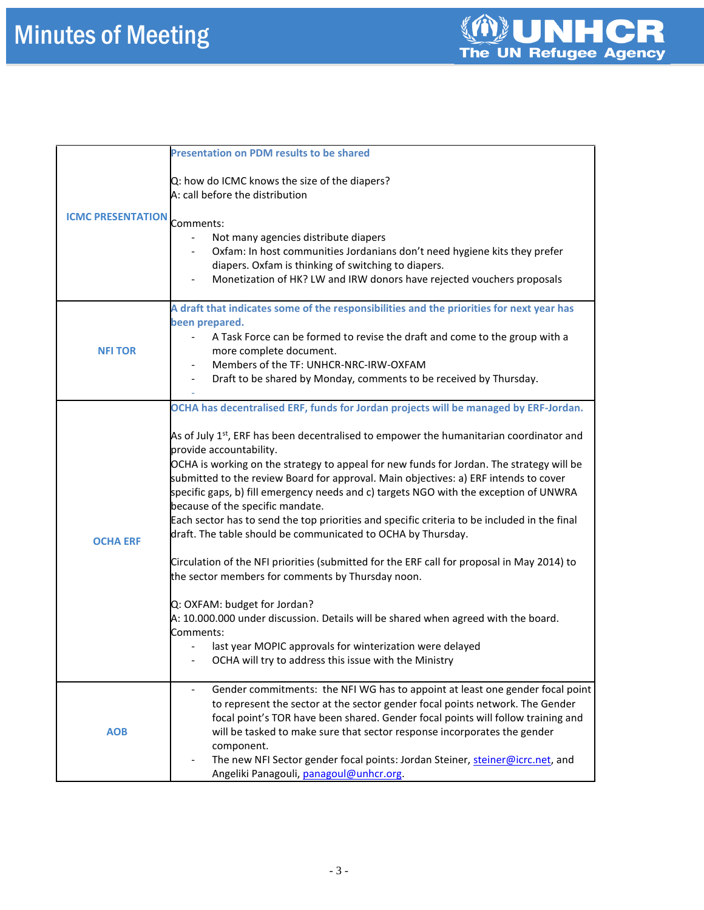|                          | <b>Presentation on PDM results to be shared</b>                                                                                                                                                                                                                                                                                                                                                                                                                                                                                                                                                                                                                                                                                                                                                                                                                                                                                                                                                                                                                                                                    |  |
|--------------------------|--------------------------------------------------------------------------------------------------------------------------------------------------------------------------------------------------------------------------------------------------------------------------------------------------------------------------------------------------------------------------------------------------------------------------------------------------------------------------------------------------------------------------------------------------------------------------------------------------------------------------------------------------------------------------------------------------------------------------------------------------------------------------------------------------------------------------------------------------------------------------------------------------------------------------------------------------------------------------------------------------------------------------------------------------------------------------------------------------------------------|--|
| <b>ICMC PRESENTATION</b> | Q: how do ICMC knows the size of the diapers?<br>A: call before the distribution<br>Comments:                                                                                                                                                                                                                                                                                                                                                                                                                                                                                                                                                                                                                                                                                                                                                                                                                                                                                                                                                                                                                      |  |
|                          | Not many agencies distribute diapers<br>Oxfam: In host communities Jordanians don't need hygiene kits they prefer<br>diapers. Oxfam is thinking of switching to diapers.<br>Monetization of HK? LW and IRW donors have rejected vouchers proposals                                                                                                                                                                                                                                                                                                                                                                                                                                                                                                                                                                                                                                                                                                                                                                                                                                                                 |  |
| <b>NFI TOR</b>           | A draft that indicates some of the responsibilities and the priorities for next year has<br>been prepared.<br>A Task Force can be formed to revise the draft and come to the group with a<br>more complete document.<br>Members of the TF: UNHCR-NRC-IRW-OXFAM<br>Draft to be shared by Monday, comments to be received by Thursday.                                                                                                                                                                                                                                                                                                                                                                                                                                                                                                                                                                                                                                                                                                                                                                               |  |
| <b>OCHA ERF</b>          | OCHA has decentralised ERF, funds for Jordan projects will be managed by ERF-Jordan.<br>As of July 1 <sup>st</sup> , ERF has been decentralised to empower the humanitarian coordinator and<br>provide accountability.<br>OCHA is working on the strategy to appeal for new funds for Jordan. The strategy will be<br>submitted to the review Board for approval. Main objectives: a) ERF intends to cover<br>specific gaps, b) fill emergency needs and c) targets NGO with the exception of UNWRA<br>because of the specific mandate.<br>Each sector has to send the top priorities and specific criteria to be included in the final<br>draft. The table should be communicated to OCHA by Thursday.<br>Circulation of the NFI priorities (submitted for the ERF call for proposal in May 2014) to<br>the sector members for comments by Thursday noon.<br>Q: OXFAM: budget for Jordan?<br>A: 10.000.000 under discussion. Details will be shared when agreed with the board.<br>Comments:<br>last year MOPIC approvals for winterization were delayed<br>OCHA will try to address this issue with the Ministry |  |
| <b>AOB</b>               | Gender commitments: the NFI WG has to appoint at least one gender focal point<br>to represent the sector at the sector gender focal points network. The Gender<br>focal point's TOR have been shared. Gender focal points will follow training and<br>will be tasked to make sure that sector response incorporates the gender<br>component.<br>The new NFI Sector gender focal points: Jordan Steiner, steiner@icrc.net, and<br>Angeliki Panagouli, panagoul@unhcr.org.                                                                                                                                                                                                                                                                                                                                                                                                                                                                                                                                                                                                                                           |  |